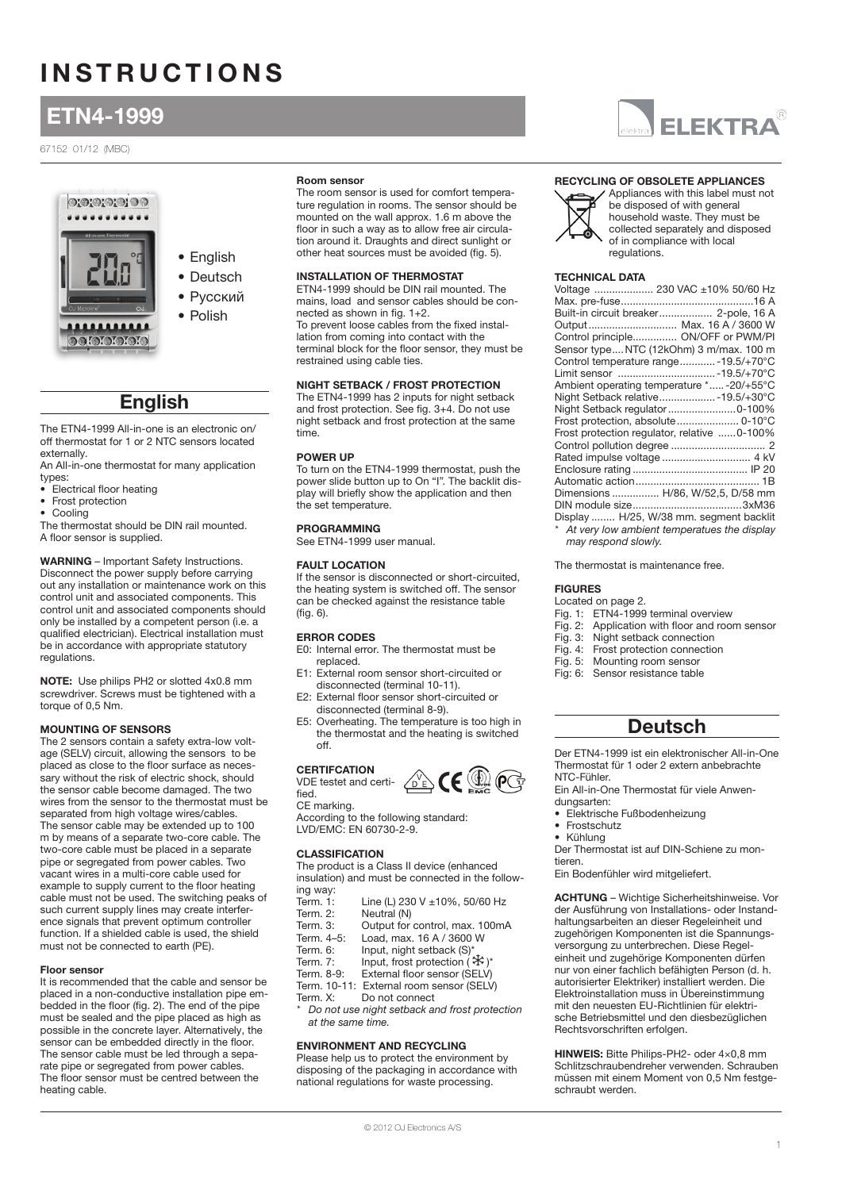# **INSTRUCTIONS**

# ETN4-1999

### 67152 01/12 (MBC)





- Deutsch
- Русский
- Polish

## English

The ETN4-1999 All-in-one is an electronic on/ off thermostat for 1 or 2 NTC sensors located externally.

An All-in-one thermostat for many application types:

- Electrical floor heating<br>• Frost protection
- Frost protection
- Cooling

The thermostat should be DIN rail mounted. A floor sensor is supplied.

WARNING – Important Safety Instructions. Disconnect the power supply before carrying out any installation or maintenance work on this control unit and associated components. This control unit and associated components should only be installed by a competent person (i.e. a qualified electrician). Electrical installation must be in accordance with appropriate statutory regulations.

NOTE: Use philips PH2 or slotted 4x0.8 mm screwdriver. Screws must be tightened with a torque of 0,5 Nm.

### Mounting of sensors

The 2 sensors contain a safety extra-low voltage (SELV) circuit, allowing the sensors to be placed as close to the floor surface as necessary without the risk of electric shock, should the sensor cable become damaged. The two wires from the sensor to the thermostat must be separated from high voltage wires/cables. The sensor cable may be extended up to 100 m by means of a separate two-core cable. The two-core cable must be placed in a separate pipe or segregated from power cables. Two vacant wires in a multi-core cable used for example to supply current to the floor heating cable must not be used. The switching peaks of such current supply lines may create interference signals that prevent optimum controller function. If a shielded cable is used, the shield must not be connected to earth (PE).

### Floor sensor

It is recommended that the cable and sensor be placed in a non-conductive installation pipe embedded in the floor (fig. 2). The end of the pipe must be sealed and the pipe placed as high as possible in the concrete layer. Alternatively, the sensor can be embedded directly in the floor. The sensor cable must be led through a separate pipe or segregated from power cables. The floor sensor must be centred between the heating cable.

### Room sensor

The room sensor is used for comfort temperature regulation in rooms. The sensor should be mounted on the wall approx. 1.6 m above the floor in such a way as to allow free air circulation around it. Draughts and direct sunlight or other heat sources must be avoided (fig. 5).

### installation of thermostat

ETN4-1999 should be DIN rail mounted. The mains, load and sensor cables should be connected as shown in fig. 1+2.

To prevent loose cables from the fixed installation from coming into contact with the terminal block for the floor sensor, they must be restrained using cable ties.

### Night setback / frost protection

The ETN4-1999 has 2 inputs for night setback and frost protection. See fig. 3+4. Do not use night setback and frost protection at the same time.

### Power up

To turn on the ETN4-1999 thermostat, push the power slide button up to On "I". The backlit display will briefly show the application and then the set temperature.

### **PROGRAMMING**

See ETN4-1999 user manual.

### Fault location

If the sensor is disconnected or short-circuited, the heating system is switched off. The sensor can be checked against the resistance table (fig. 6).

### Error codes

- E0: Internal error. The thermostat must be replaced.
- E1: External room sensor short-circuited or disconnected (terminal 10-11).
- E2: External floor sensor short-circuited or disconnected (terminal 8-9).
- E5: Overheating. The temperature is too high in the thermostat and the heating is switched off.

#### **CERTIFC** VDE testet and certi-

fied.



CE marking. According to the following standard: LVD/EMC: EN 60730-2-9.

### **CLASSIFICATION**

The product is a Class II device (enhanced insulation) and must be connected in the following way:<br>Term. 1:

- Line (L) 230 V  $\pm 10$ %, 50/60 Hz
- 
- Term. 2: Neutral (N)<br>Term. 3: Output for Term. 3: Community,<br>Term. 3: Output for control, max. 100mA<br>Term. 4–5: Load. max. 16 A / 3600 W
- Load, max. 16 A / 3600 W
- Term. 6: Input, night setback (S)
- Term. 7: Input, frost protection  $(* \r$ <sup>\*</sup>
- Term. 8-9: External floor sensor (SELV)
- Term. 10-11: External room sensor (SELV)<br>Term. X: Do not connect
- Do not connect
- Do not use night setback and frost protection at the same time.

### Environment and RECYCLING

Please help us to protect the environment by disposing of the packaging in accordance with national regulations for waste processing.



### Recycling of obsolete appliances



Appliances with this label must not be disposed of with general household waste. They must be collected separately and disposed of in compliance with local regulations.

### **TECHNICAL DATA**

| Voltage  230 VAC ±10% 50/60 Hz                |
|-----------------------------------------------|
|                                               |
| Built-in circuit breaker 2-pole, 16 A         |
| Output Max. 16 A / 3600 W                     |
| Control principle ON/OFF or PWM/PI            |
| Sensor type NTC (12kOhm) 3 m/max. 100 m       |
| Control temperature range - 19.5/+70°C        |
| Limit sensor  - 19.5/+70°C                    |
| Ambient operating temperature *-20/+55°C      |
| Night Setback relative - 19.5/+30°C           |
| Night Setback regulator  0-100%               |
|                                               |
| Frost protection regulator, relative 0-100%   |
|                                               |
|                                               |
|                                               |
|                                               |
| Dimensions  H/86, W/52,5, D/58 mm             |
|                                               |
| Display  H/25, W/38 mm. segment backlit       |
| * At very low ambient temperatues the display |

may respond slowly.

The thermostat is maintenance free.

### **FIGURES**

- Located on page 2.
- 
- Fig. 1: ETN4-1999 terminal overview<br>Fig. 2: Application with floor and room Application with floor and room sensor
- Fig. 3: Night setback connection
- Fig. 4: Frost protection connection<br>Fig. 5: Mounting room sensor
- Mounting room sensor
- Fig: 6: Sensor resistance table

## Deutsch

Der ETN4-1999 ist ein elektronischer All-in-One Thermostat für 1 oder 2 extern anbebrachte NTC-Fühler.

- Ein All-in-One Thermostat für viele Anwen-
- dungsarten:
- Elektrische Fußbodenheizung
- **Frostschutz**
- Kühlung

Der Thermostat ist auf DIN-Schiene zu montieren.

Ein Bodenfühler wird mitgeliefert.

ACHTUNG – Wichtige Sicherheitshinweise. Vor der Ausführung von Installations- oder Instandhaltungsarbeiten an dieser Regeleinheit und zugehörigen Komponenten ist die Spannungsversorgung zu unterbrechen. Diese Regeleinheit und zugehörige Komponenten dürfen nur von einer fachlich befähigten Person (d. h. autorisierter Elektriker) installiert werden. Die Elektroinstallation muss in Übereinstimmung mit den neuesten EU-Richtlinien für elektrische Betriebsmittel und den diesbezüglichen Rechtsvorschriften erfolgen.

HINWEIS: Bitte Philips-PH2- oder 4×0,8 mm Schlitzschraubendreher verwenden. Schrauben müssen mit einem Moment von 0,5 Nm festgeschraubt werden.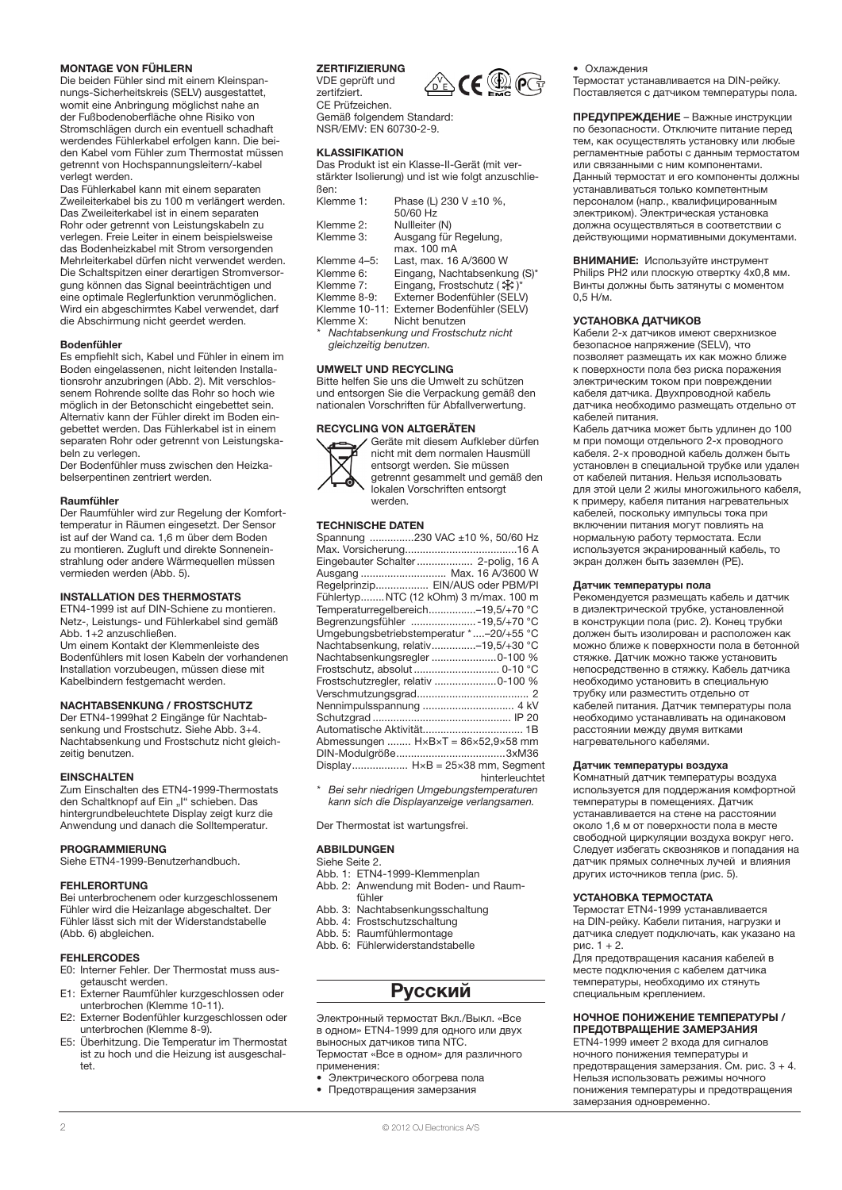### Montage von Fühlern

Die beiden Fühler sind mit einem Kleinspannungs-Sicherheitskreis (SELV) ausgestattet, womit eine Anbringung möglichst nahe an der Fußbodenoberfläche ohne Risiko von Stromschlägen durch ein eventuell schadhaft werdendes Fühlerkabel erfolgen kann. Die beiden Kabel vom Fühler zum Thermostat müssen getrennt von Hochspannungsleitern/-kabel verlegt werden.

Das Fühlerkabel kann mit einem separaten Zweileiterkabel bis zu 100 m verlängert werden. Das Zweileiterkabel ist in einem separaten Rohr oder getrennt von Leistungskabeln zu verlegen. Freie Leiter in einem beispielsweise das Bodenheizkabel mit Strom versorgenden Mehrleiterkabel dürfen nicht verwendet werden. Die Schaltspitzen einer derartigen Stromversorgung können das Signal beeinträchtigen und eine optimale Reglerfunktion verunmöglichen. Wird ein abgeschirmtes Kabel verwendet, darf die Abschirmung nicht geerdet werden.

### Bodenfühler

Es empfiehlt sich, Kabel und Fühler in einem im Boden eingelassenen, nicht leitenden Installationsrohr anzubringen (Abb. 2). Mit verschlossenem Rohrende sollte das Rohr so hoch wie möglich in der Betonschicht eingebettet sein. Alternativ kann der Fühler direkt im Boden eingebettet werden. Das Fühlerkabel ist in einem separaten Rohr oder getrennt von Leistungskabeln zu verlegen.

Der Bodenfühler muss zwischen den Heizkabelserpentinen zentriert werden.

#### Raumfühler

Der Raumfühler wird zur Regelung der Komforttemperatur in Räumen eingesetzt. Der Sensor ist auf der Wand ca. 1,6 m über dem Boden zu montieren. Zugluft und direkte Sonneneinstrahlung oder andere Wärmequellen müssen vermieden werden (Abb. 5).

### Installation des Thermostats

ETN4-1999 ist auf DIN-Schiene zu montieren. Netz-, Leistungs- und Fühlerkabel sind gemäß Abb. 1+2 anzuschließen.

Um einem Kontakt der Klemmenleiste des Bodenfühlers mit losen Kabeln der vorhandenen Installation vorzubeugen, müssen diese mit Kabelbindern festgemacht werden.

### Nachtabsenkung / Frostschutz

Der ETN4-1999hat 2 Eingänge für Nachtabsenkung und Frostschutz. Siehe Abb. 3+4. Nachtabsenkung und Frostschutz nicht gleichzeitig benutzen.

#### **EINSCHALTEN**

Zum Einschalten des ETN4-1999-Thermostats den Schaltknopf auf Ein "I" schieben. Das hintergrundbeleuchtete Display zeigt kurz die Anwendung und danach die Solltemperatur.

### Programmierung

Siehe ETN4-1999-Benutzerhandbuch.

### **FEHLERORTUNG**

Bei unterbrochenem oder kurzgeschlossenem Fühler wird die Heizanlage abgeschaltet. Der Fühler lässt sich mit der Widerstandstabelle (Abb. 6) abgleichen.

### Fehlercodes

- E0: Interner Fehler. Der Thermostat muss ausgetauscht werden.
- E1: Externer Raumfühler kurzgeschlossen oder unterbrochen (Klemme 10-11).
- E2: Externer Bodenfühler kurzgeschlossen oder unterbrochen (Klemme 8-9).
- E5: Überhitzung. Die Temperatur im Thermostat ist zu hoch und die Heizung ist ausgeschal $t$

### **ZERTIFIZIERUNG**

VDE geprüft und zertifziert. CE Prüfzeichen.

Gemäß folgendem Standard: NSR/EMV: EN 60730-2-9.

### Klassifikation

Das Produkt ist ein Klasse-II-Gerät (mit verstärkter Isolierung) und ist wie folgt anzuschließen:

| Klemme 1:   | Phase (L) 230 V $\pm$ 10 %,<br>50/60 Hz   |
|-------------|-------------------------------------------|
|             |                                           |
| Klemme 2:   | Nullleiter (N)                            |
| Klemme 3:   | Ausgang für Regelung,                     |
|             | max, 100 mA                               |
| Klemme 4-5: | Last, max. 16 A/3600 W                    |
| Klemme 6:   | Eingang, Nachtabsenkung (S)*              |
| Klemme 7:   | Eingang, Frostschutz ( $\mathcal{K}$ )*   |
| Klemme 8-9: | Externer Bodenfühler (SELV)               |
|             | Klemme 10-11: Externer Bodenfühler (SELV) |
| Klemme X:   | Nicht benutzen                            |
|             |                                           |

Nachtabsenkung und Frostschutz nicht gleichzeitig benutzen.

### Umwelt und RECYCLING

Bitte helfen Sie uns die Umwelt zu schützen und entsorgen Sie die Verpackung gemäß den nationalen Vorschriften für Abfallverwertung.

### Recycling von Altgeräten



Geräte mit diesem Aufkleber dürfen nicht mit dem normalen Hausmüll entsorgt werden. Sie müssen getrennt gesammelt und gemäß den gotten itt gesammelt and gen<br>Jokalen Vorschriften entsorgt werden.

#### Technische Daten

| Spannung 230 VAC ±10 %, 50/60 Hz                                |
|-----------------------------------------------------------------|
|                                                                 |
|                                                                 |
| Eingebauter Schalter 2-polig, 16 A                              |
| Ausgang  Max. 16 A/3600 W                                       |
| Regelprinzip EIN/AUS oder PBM/PI                                |
| FühlertypNTC (12 kOhm) 3 m/max. 100 m                           |
| Temperaturregelbereich-19,5/+70 °C                              |
| Begrenzungsfühler  - 19,5/+70 °C                                |
| Umgebungsbetriebstemperatur *-20/+55 °C                         |
| Nachtabsenkung, relativ-19,5/+30 °C                             |
| Nachtabsenkungsregler 0-100 %                                   |
|                                                                 |
| Frostschutzregler, relativ 0-100 %                              |
|                                                                 |
|                                                                 |
|                                                                 |
|                                                                 |
| Abmessungen $H \times B \times T = 86 \times 52.9 \times 58$ mm |
|                                                                 |
| Display $H \times B = 25 \times 38$ mm, Segment                 |
| hinterleuchtet                                                  |
|                                                                 |

Bei sehr niedrigen Umgebungstemperaturen kann sich die Displayanzeige verlangsamen.

Der Thermostat ist wartungsfrei.

### **ARRII DI INGEN**

### Siehe Seite 2.

- Abb. 1: ETN4-1999-Klemmenplan Abb. 2: Anwendung mit Boden- und Raumfühler
- Abb. 3: Nachtabsenkungsschaltung
- Abb. 4: Frostschutzschaltung
- Abb. 5: Raumfühlermontage
- Abb. 6: Fühlerwiderstandstabelle

### Русский

Электронный термостат Вкл./Выкл. «Все в одном» ETN4-1999 для одного или двух выносных датчиков типа NTC. Термостат «Все в одном» для различного применения:

- Электрического обогрева пола
- Предотвращения замерзания



• Охлаждения

Термостат устанавливается на DIN-рейку. Поставляется с датчиком температуры пола.

ПРЕДУПРЕЖДЕНИЕ – Важные инструкции по безопасности. Отключите питание перед тем, как осуществлять установку или любые регламентные работы с данным термостатом или связанными с ним компонентами. Данный термостат и его компоненты должны устанавливаться только компетентным персоналом (напр., квалифицированным электриком). Электрическая установка должна осуществляться в соответствии с действующими нормативными документами.

ВНИМАНИЕ: Используйте инструмент Philips PH2 или плоскую отвертку 4х0,8 мм. Винты должны быть затянуты с моментом 0,5 Н/м.

### УСТАНОВКА ДАТЧИКОВ

Кабели 2-х датчиков имеют сверхнизкое безопасное напряжение (SELV), что позволяет размещать их как можно ближе к поверхности пола без риска поражения электрическим током при повреждении кабеля датчика. Двухпроводной кабель датчика необходимо размещать отдельно от кабелей питания.

Кабель датчика может быть удлинен до 100 м при помощи отдельного 2-х проводного кабеля. 2-х проводной кабель должен быть установлен в специальной трубке или удален от кабелей питания. Нельзя использовать для этой цели 2 жилы многожильного кабеля, к примеру, кабеля питания нагревательных кабелей, поскольку импульсы тока при включении питания могут повлиять на нормальную работу термостата. Если используется экранированный кабель, то экран должен быть заземлен (РЕ).

### Датчик температуры пола

Рекомендуется размещать кабель и датчик в диэлектрической трубке, установленной в конструкции пола (рис. 2). Конец трубки должен быть изолирован и расположен как можно ближе к поверхности пола в бетонной стяжке. Датчик можно также установить непосредственно в стяжку. Кабель датчика необходимо установить в специальную трубку или разместить отдельно от кабелей питания. Датчик температуры пола необходимо устанавливать на одинаковом расстоянии между двумя витками нагревательного кабелями.

### Датчик температуры воздуха

Комнатный датчик температуры воздуха используется для поддержания комфортной температуры в помещениях. Датчик устанавливается на стене на расстоянии около 1,6 м от поверхности пола в месте свободной циркуляции воздуха вокруг него. Следует избегать сквозняков и попадания на датчик прямых солнечных лучей и влияния других источников тепла (рис. 5).

### УСТАНОВКА ТЕРМОСТАТА

Термостат ETN4-1999 устанавливается на DIN-рейку. Кабели питания, нагрузки и датчика следует подключать, как указано на рис. 1 + 2.

Для предотвращения касания кабелей в месте подключения с кабелем датчика температуры, необходимо их стянуть специальным креплением.

### НОЧНОЕ ПОНИЖЕНИЕ ТЕМПЕРАТУРЫ / ПРЕДОТВРАЩЕНИЕ ЗАМЕРЗАНИЯ

ETN4-1999 имеет 2 входа для сигналов ночного понижения температуры и предотвращения замерзания. См. рис. 3 + 4. Нельзя использовать режимы ночного понижения температуры и предотвращения замерзания одновременно.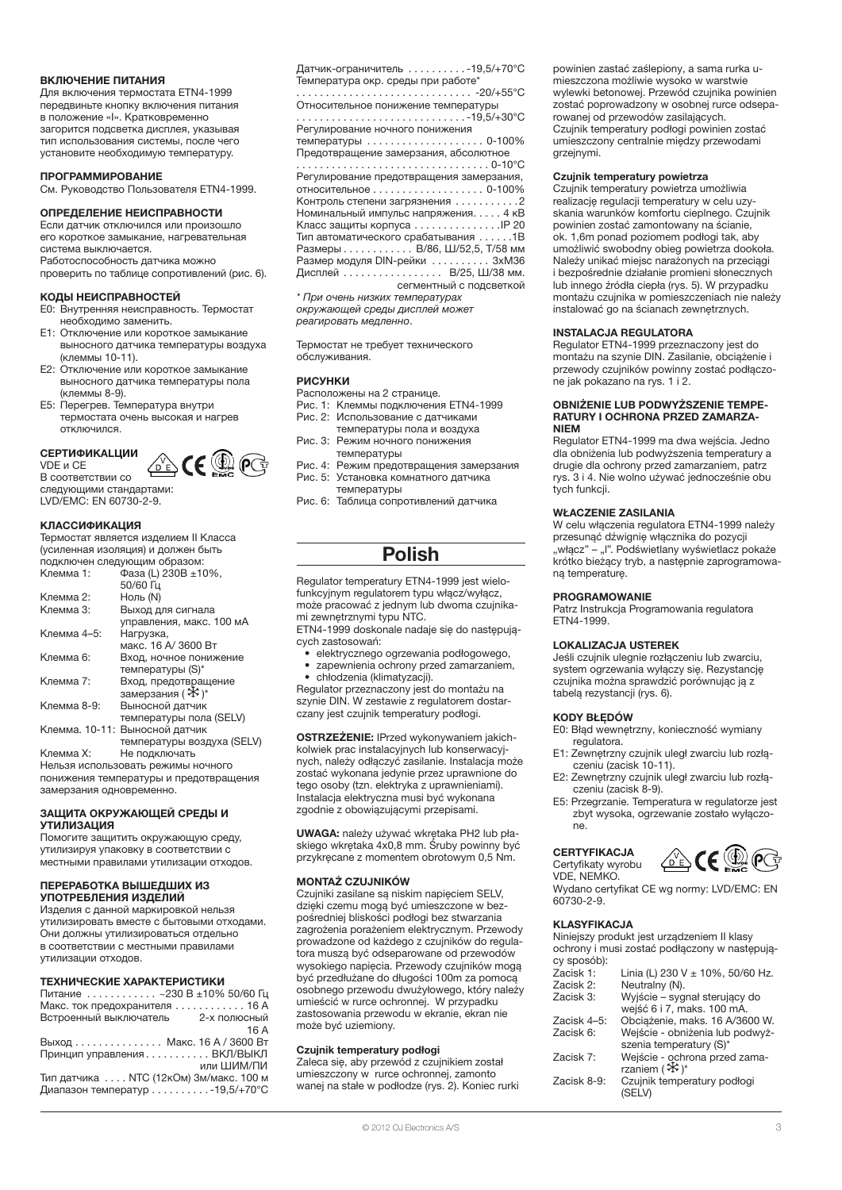### ВКЛЮЧЕНИЕ ПИТАНИЯ

Для включения термостата ETN4-1999 передвиньте кнопку включения питания в положение «I». Кратковременно загорится подсветка дисплея, указывая тип использования системы, после чего установите необходимую температуру.

### ПРОГРАММИРОВАНИЕ

См. Руководство Пользователя ETN4-1999.

### ОПРЕДЕЛЕНИЕ НЕИСПРАВНОСТИ

Если датчик отключился или произошло его короткое замыкание, нагревательная система выключается.

Работоспособность датчика можно

проверить по таблице сопротивлений (рис. 6).

### КОДЫ НЕИСПРАВНОСТЕЙ

- E0: Внутренняя неисправность. Термостат необходимо заменить.
- Отключение или короткое замыкание выносного датчика температуры воздуха (клеммы 10-11).
- E2: Отключение или короткое замыкание выносного датчика температуры пола (клеммы 8-9).
- E5: Перегрев. Температура внутри термостата очень высокая и нагрев отключился.

### CEPTИФИKALЦИИ

企க€இ VDE и CE В соответствии со следующими стандартами: LVD/EMC: EN 60730-2-9.

### КЛАССИФИКАЦИЯ

Термостат является изделием II Класса (усиленная изоляция) и должен быть подключен следующим образом:

| Клемма 1:   | Фаза (L) 230В $\pm$ 10%,       |  |  |
|-------------|--------------------------------|--|--|
|             | 50/60 Гц                       |  |  |
| Клемма 2:   | Ноль (N)                       |  |  |
| Клемма 3:   | Выход для сигнала              |  |  |
|             | управления, макс. 100 мА       |  |  |
| Клемма 4-5: | Нагрузка,                      |  |  |
|             | макс. 16 А/ 3600 Вт            |  |  |
| Клемма 6:   | Вход, ночное понижение         |  |  |
|             | температуры (S)*               |  |  |
| Клемма 7:   | Вход, предотвращение           |  |  |
|             | замерзания (※)*                |  |  |
| Клемма 8-9: | Выносной датчик                |  |  |
|             | температуры пола (SELV)        |  |  |
|             | Клемма. 10-11: Выносной датчик |  |  |
|             | температуры воздуха (SELV)     |  |  |

Клемма X: Не подключать Нельзя использовать режимы ночного понижения температуры и предотвращения замерзания одновременно.

### ЗАЩИТА ОКРУЖАЮЩЕЙ СРЕДЫ И УТИЛИЗАЦИЯ

Помогите защитить окружающую среду, утилизируя упаковку в соответствии с местными правилами утилизации отходов.

### ПЕРЕРАБОТКА ВЫШЕДШИХ ИЗ УПОТРЕБЛЕНИЯ ИЗДЕЛИЙ

Изделия с данной маркировкой нельзя утилизировать вместе с бытовыми отходами. Они должны утилизироваться отдельно в соответствии с местными правилами утилизации отходов.

### ТЕХНИЧЕСКИЕ ХАРАКТЕРИСТИКИ

Питание . . . . . . . . . . . . ~230 В ±10% 50/60 Гц Макс. ток предохранителя . . . . . . . . . . . . 16 А<br>Встроенный выключатель 2-х полюсный Встроенный выключатель 16 A Выход. . . Макс. 16 A / 3600 Вт Принцип управления. . . ВКЛ/ВЫКЛ или ШИМ/ПИ Тип датчика. . . NTC (12кОм) 3м/макс. 100 м Диапазон температур . . . . . . . . . . - 19,5/+70°С

Датчик-ограничитель . . . . . . . . . . - 19,5/+70°С Температура окр. среды при работе\*

. . . . . . . . . . . . . . . . . . . . . . . . . . . . . . -20/+55°C Относительное понижение температуры . . . . . . . . . . . . . . . . . . . . . . . . . . . . . -19,5/+30°C

Регулирование ночного понижения температуры ..............

Предотвращение замерзания, абсолютное . . . . . . . . . . . . . . . . . . . . . . . . . . . . . . . . . 0-10°C

Регулирование предотвращения замерзания, относительное . . . . . . . . . . . . . . . . . . 0-100% Контроль степени загрязнения  $\dots\dots\dots2$ Номинальный импульс напряжения. . . . . 4 кВ Класс защиты корпуса . . . . . . . . . . . . . . . IP 20 Тип автоматического срабатывания . . . . . . 1В Размеры. . В/86, Ш/52,5, Т/58 мм Размер модуля DIN-рейки . . . . . . . . . . 3xM36 Дисплей............... В/25, Ш/38 мм. сегментный с подсветкой

\* При очень низких температурах окружающей среды дисплей может реагировать медленно.

Термостат не требует технического обслуживания.

### РИСУНКИ

- Расположены на 2 странице.
- Рис. 1: Клеммы подключения ETN4-1999
- Рис. 2: Использование с датчиками температуры пола и воздуха
- Рис. 3: Режим ночного понижения температуры
- Рис. 4: Режим предотвращения замерзания Рис. 5: Установка комнатного датчика температуры
- Рис. 6: Таблица сопротивлений датчика

## Polish

Regulator temperatury ETN4-1999 jest wielofunkcyjnym regulatorem typu włącz/wyłącz, może pracować z jednym lub dwoma czujnikami zewnętrznymi typu NTC. ETN4-1999 doskonale nadaje się do następują-

cych zastosowań:

• elektrycznego ogrzewania podłogowego, • zapewnienia ochrony przed zamarzaniem, • chłodzenia (klimatyzacji).

Regulator przeznaczony jest do montażu na szynie DIN. W zestawie z regulatorem dostarczany jest czujnik temperatury podłogi.

OSTRZEŻENIE: IPrzed wykonywaniem jakichkolwiek prac instalacyjnych lub konserwacyjnych, należy odłączyć zasilanie. Instalacja może zostać wykonana jedynie przez uprawnione do tego osoby (tzn. elektryka z uprawnieniami). Instalacja elektryczna musi być wykonana zgodnie z obowiązującymi przepisami.

UWAGA: należy używać wkrętaka PH2 lub płaskiego wkrętaka 4x0,8 mm. Śruby powinny być przykręcane z momentem obrotowym 0,5 Nm.

### MONTAŻ CZUJNIKÓW

Czujniki zasilane są niskim napięciem SELV, dzięki czemu mogą być umieszczone w bezpośredniej bliskości podłogi bez stwarzania zagrożenia porażeniem elektrycznym. Przewody prowadzone od każdego z czujników do regulatora muszą być odseparowane od przewodów wysokiego napięcia. Przewody czujników mogą być przedłużane do długości 100m za pomocą osobnego przewodu dwużyłowego, który należy umieścić w rurce ochronnej. W przypadku zastosowania przewodu w ekranie, ekran nie może być uziemiony.

### Czujnik temperatury podłogi

Zaleca się, aby przewód z czujnikiem został umieszczony w rurce ochronnej, zamonto wanej na stałe w podłodze (rys. 2). Koniec rurki

### Czujnik temperatury powietrza

Czujnik temperatury powietrza umożliwia realizację regulacji temperatury w celu uzyskania warunków komfortu cieplnego. Czujnik powinien zostać zamontowany na ścianie, ok. 1,6m ponad poziomem podłogi tak, aby umożliwić swobodny obieg powietrza dookoła. Należy unikać miejsc narażonych na przeciągi i bezpośrednie działanie promieni słonecznych lub innego źródła ciepła (rys. 5). W przypadku montażu czujnika w pomieszczeniach nie należy instalować go na ścianach zewnętrznych.

### INSTALACJA REGULATORA

Regulator ETN4-1999 przeznaczony jest do montażu na szynie DIN. Zasilanie, obciążenie i przewody czujników powinny zostać podłączone jak pokazano na rys. 1 i 2.

#### OBNIŻENIE LUB PODWYŻSZENIE TEMPE-RATURY I OCHRONA PRZED ZAMARZA-NIEM

Regulator ETN4-1999 ma dwa wejścia. Jedno dla obniżenia lub podwyższenia temperatury a drugie dla ochrony przed zamarzaniem, patrz rys. 3 i 4. Nie wolno używać jednocześnie obu tych funkcii.

### WŁACZENIE ZASILANIA

W celu włączenia regulatora ETN4-1999 należy przesunąć dźwignię włącznika do pozycji "włącz" – "I". Podświetlany wyświetlacz pokaże krótko bieżący tryb, a następnie zaprogramowaną temperaturę.

### PROGRAMOWANIE

Patrz Instrukcja Programowania regulatora ETN4-1999.

### LOKALIZACJA USTEREK

Jeśli czujnik ulegnie rozłączeniu lub zwarciu, system ogrzewania wyłączy się. Rezystancję czujnika można sprawdzić porównując ją z tabelą rezystancji (rys. 6).

### KODY BŁĘDÓW

E0: Błąd wewnętrzny, konieczność wymiany regulatora.

- E1: Zewnętrzny czujnik uległ zwarciu lub rozłączeniu (zacisk 10-11).
- E2: Zewnętrzny czujnik uległ zwarciu lub rozłączeniu (zacisk 8-9).
- E5: Przegrzanie. Temperatura w regulatorze jest zbyt wysoka, ogrzewanie zostało wyłączone.

### **CERTYFIKACJA** Certyfikaty wyrobu

⚠∈▒ VDE, NEMKO. Wydano certyfikat CE wg normy: LVD/EMC: EN 60730-2-9.

### KLASYFIKACJA

Niniejszy produkt jest urządzeniem II klasy ochrony i musi zostać podłączony w następujący sposób):

| <u>oy opooong:</u> |                                                             |
|--------------------|-------------------------------------------------------------|
| Zacisk 1:          | Linia (L) 230 V $\pm$ 10%, 50/60 Hz.                        |
| Zacisk 2:          | Neutralny (N).                                              |
| Zacisk 3:          | Wyjście – sygnał sterujący do<br>wejść 6 i 7, maks. 100 mA. |
| Zacisk 4-5:        | Obciążenie, maks. 16 A/3600 W.                              |
| Zacisk 6:          | Wejście - obniżenia lub podwyż-<br>szenia temperatury (S)*  |
| Zacisk 7:          | Wejście - ochrona przed zama-<br>rzaniem ( $\mathcal{F}$ )* |
| Zacisk 8-9:        | Czujnik temperatury podłogi<br>(SELV)                       |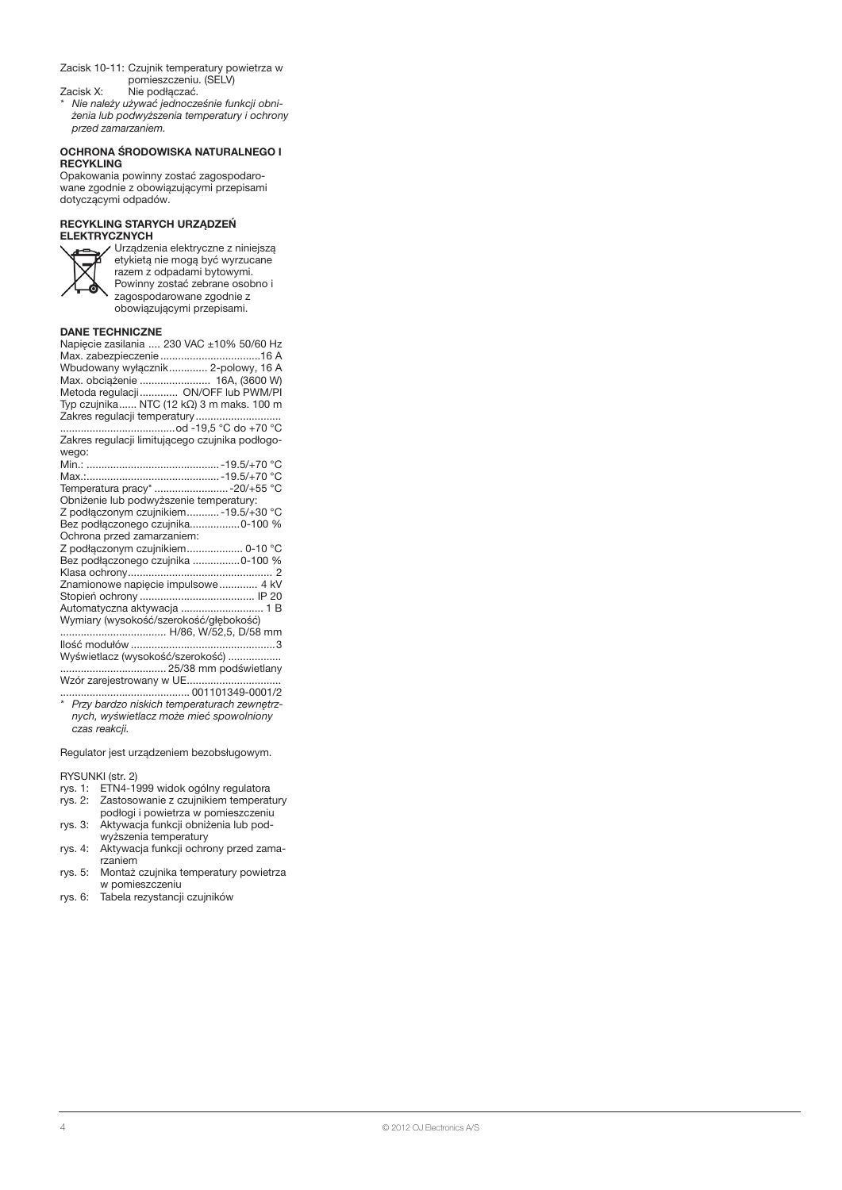- Zacisk 10-11: Czujnik temperatury powietrza w pomieszczeniu. (SELV)
- Zacisk X: Nie podłączać.
- \* Nie należy używać jednocześnie funkcji obniżenia lub podwyższenia temperatury i ochrony przed zamarzaniem.

### OCHRONA ŚRODOWISKA NATURALNEGO I **RECYKLING**

Opakowania powinny zostać zagospodarowane zgodnie z obowiązującymi przepisami dotyczącymi odpadów.

### RECYKLING STARYCH URZĄDZEŃ ELEKTRYCZNYC



Urządzenia elektryczne z niniejszą etykietą nie mogą być wyrzucane razem z odpadami bytowymi. Powinny zostać zebrane osobno i zagospodarowane zgodnie z obowiązującymi przepisami.

### DANE TECHNICZNE

| Napięcie zasilania  230 VAC ±10% 50/60 Hz       |
|-------------------------------------------------|
|                                                 |
| Wbudowany wyłącznik 2-polowy, 16 A              |
| Max. obciążenie  16A, (3600 W)                  |
| Metoda regulacji ON/OFF lub PWM/PI              |
| Typ czujnika NTC (12 kΩ) 3 m maks. 100 m        |
| Zakres regulacji temperatury                    |
|                                                 |
| Zakres regulacji limitującego czujnika podłogo- |
| wego:                                           |
|                                                 |
|                                                 |
| Temperatura pracy*  -20/+55 °C                  |
| Obniżenie lub podwyższenie temperatury:         |
| Z podłączonym czujnikiem - 19.5/+30 °C          |
| Bez podłączonego czujnika0-100 %                |
| Ochrona przed zamarzaniem:                      |
| Z podłączonym czujnikiem 0-10 °C                |
| Bez podłączonego czujnika 0-100 %               |
|                                                 |
| Znamionowe napięcie impulsowe  4 kV             |
|                                                 |
| Automatyczna aktywacja  1 B                     |
| Wymiary (wysokość/szerokość/głębokość)          |
| H/86, W/52,5, D/58 mm                           |
|                                                 |
| Wyświetlacz (wysokość/szerokość)                |
|                                                 |
|                                                 |

Wzór zarejestrowany w UE............................... ............................................ 001101349-0001/2 \* Przy bardzo niskich temperaturach zewnętrz-

nych, wyświetlacz może mieć spowolniony czas reakcji.

Regulator jest urządzeniem bezobsługowym.

RYSUNKI (str. 2)

- rys. 1: ETN4-1999 widok ogólny regulatora<br>rys. 2: Zastosowanie z czujnikiem temperat Zastosowanie z czujnikiem temperatury
- podłogi i powietrza w pomieszczeniu
- rys. 3: Aktywacja funkcji obniżenia lub podwyższenia temperatury
- rys. 4: Aktywacja funkcji ochrony przed zamarzaniem
- rys. 5: Montaż czujnika temperatury powietrza w pomieszczeniu
- rys. 6: Tabela rezystancji czujników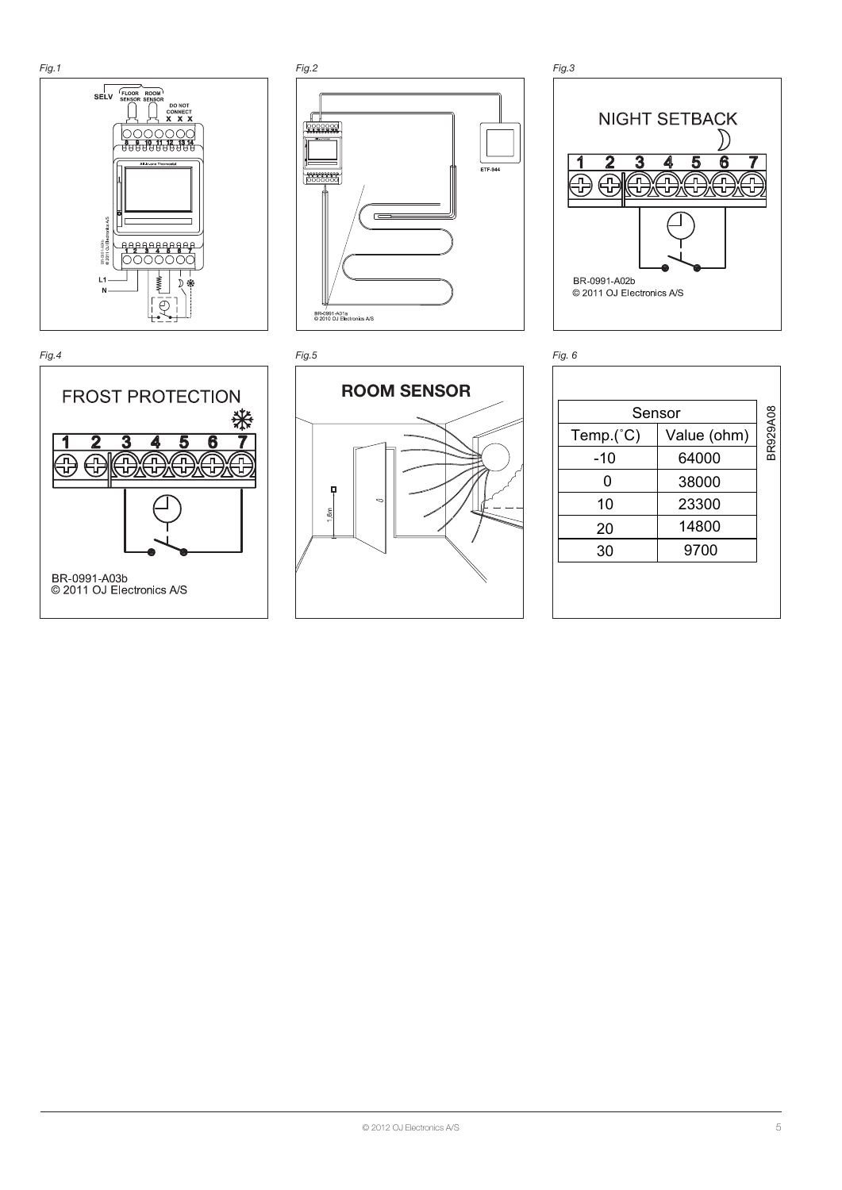









|                           | , iy. u     |             |          |
|---------------------------|-------------|-------------|----------|
| <b>OM SENSOR</b>          |             |             |          |
|                           | Sensor      |             |          |
|                           | $Temp.(^c)$ | Value (ohm) | BR929A08 |
|                           | $-10$       | 64000       |          |
|                           | $\pmb{0}$   | 38000       |          |
| $\circ$                   | 10          | 23300       |          |
|                           | 20          | 14800       |          |
|                           | 30          | 9700        |          |
|                           |             |             |          |
|                           |             |             |          |
|                           |             |             |          |
|                           |             |             |          |
|                           |             |             |          |
|                           |             |             |          |
|                           |             |             |          |
|                           |             |             |          |
|                           |             |             |          |
|                           |             |             |          |
|                           |             |             |          |
|                           |             |             |          |
|                           |             |             |          |
|                           |             |             |          |
|                           |             |             |          |
|                           |             |             |          |
|                           |             |             |          |
|                           |             |             |          |
|                           |             |             |          |
|                           |             |             |          |
|                           |             |             |          |
|                           |             |             |          |
|                           |             |             |          |
|                           |             |             |          |
|                           |             |             |          |
|                           |             |             |          |
| © 2012 OJ Electronics A/S |             |             | 5        |